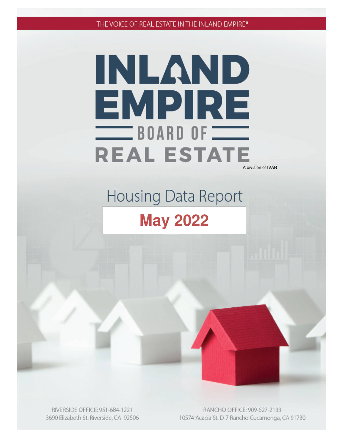THE VOICE OF REAL ESTATE IN THE INLAND EMPIRE®

# INLAND EMPIRE  $\equiv$  BOARD OF  $\equiv$ **REAL ESTATE** A division of IVAR

# Housing Data Report **May 2022**

RIVERSIDE OFFICE: 951-684-1221 3690 Elizabeth St. Riverside, CA 92506

RANCHO OFFICE: 909-527-2133 10574 Acacia St. D-7 Rancho Cucamonga, CA 91730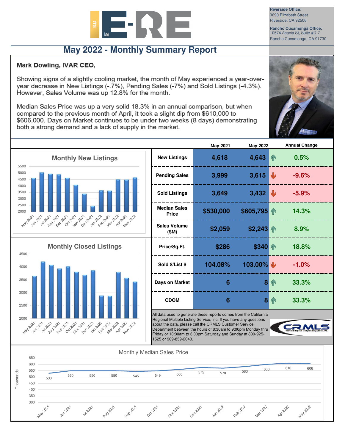**Rancho Cucamonga Office:** 10574 Acacia St, Suite #D-7 Rancho Cucamonga, CA 91730

### **May 2022 - Monthly Summary Report**

#### Mark Dowling, IVAR CEO,

Showing signs of a slightly cooling market, the month of May experienced a year-overyear decrease in New Listings (-.7%), Pending Sales (-7%) and Sold Listings (-4.3%). However, Sales Volume was up 12.8% for the month.

Median Sales Price was up a very solid 18.3% in an annual comparison, but when compared to the previous month of April, it took a slight dip from \$610,000 to \$606,000. Days on Market continues to be under two weeks (8 days) demonstrating both a strong demand and a lack of supply in the market.

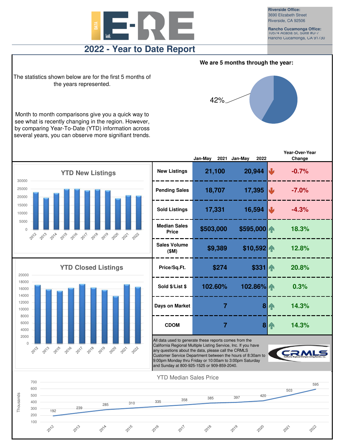

**Rancho Cucamonga Office:**<br>10574 Acacia St, Suite #D-7 Rancho Cucamonga, CA 91730

|                         |                                                                                                                                                                                                                             | We are 5 months through the year:   |                                                                                                                                                                                                                                                                                                                                                         |                    |                                  |                          |  |  |
|-------------------------|-----------------------------------------------------------------------------------------------------------------------------------------------------------------------------------------------------------------------------|-------------------------------------|---------------------------------------------------------------------------------------------------------------------------------------------------------------------------------------------------------------------------------------------------------------------------------------------------------------------------------------------------------|--------------------|----------------------------------|--------------------------|--|--|
|                         | The statistics shown below are for the first 5 months of<br>the years represented.                                                                                                                                          |                                     | 42%                                                                                                                                                                                                                                                                                                                                                     |                    |                                  |                          |  |  |
|                         | Month to month comparisons give you a quick way to<br>see what is recently changing in the region. However,<br>by comparing Year-To-Date (YTD) information across<br>several years, you can observe more signifiant trends. |                                     |                                                                                                                                                                                                                                                                                                                                                         |                    |                                  |                          |  |  |
|                         |                                                                                                                                                                                                                             |                                     | Jan-May<br>2021 Jan-May                                                                                                                                                                                                                                                                                                                                 | 2022               |                                  | Year-Over-Year<br>Change |  |  |
| 30000                   | <b>YTD New Listings</b>                                                                                                                                                                                                     | <b>New Listings</b>                 | 21,100                                                                                                                                                                                                                                                                                                                                                  | 20,944             | ₩                                | $-0.7%$                  |  |  |
| 25000<br>20000          | 2015<br>2016<br>2019<br>2013<br>2014<br>2011<br>2018<br>2020<br>2021<br>2012                                                                                                                                                | <b>Pending Sales</b>                | 18,707                                                                                                                                                                                                                                                                                                                                                  | 17,395             | ₩                                | $-7.0%$                  |  |  |
| 15000<br>10000          |                                                                                                                                                                                                                             | <b>Sold Listings</b>                | 17,331                                                                                                                                                                                                                                                                                                                                                  | 16,594             | J۶                               | $-4.3%$                  |  |  |
| 5000<br>$\Omega$        |                                                                                                                                                                                                                             | <b>Median Sales</b><br><b>Price</b> | \$503,000                                                                                                                                                                                                                                                                                                                                               | \$595,000          |                                  | 18.3%                    |  |  |
|                         |                                                                                                                                                                                                                             | <b>Sales Volume</b><br>(SM)         | \$9,389                                                                                                                                                                                                                                                                                                                                                 | \$10,592 $\hat{ }$ |                                  | 12.8%                    |  |  |
| 20000                   | <b>YTD Closed Listings</b>                                                                                                                                                                                                  | Price/Sq.Ft.                        | \$274                                                                                                                                                                                                                                                                                                                                                   | \$331 A            |                                  | 20.8%                    |  |  |
| 18000<br>16000<br>14000 |                                                                                                                                                                                                                             | Sold \$/List \$                     | 102.60%                                                                                                                                                                                                                                                                                                                                                 | 102.86%            |                                  | 0.3%                     |  |  |
| 12000<br>10000          |                                                                                                                                                                                                                             | <b>Days on Market</b>               | 7                                                                                                                                                                                                                                                                                                                                                       |                    | $8 \textcolor{red}{\textbf{1}} $ | 14.3%                    |  |  |
| 8000<br>6000<br>4000    | 2015<br>2016<br>2017<br>2018<br>2019<br>2020<br>2012<br>$\varphi^{\!\mathcal{O}_{\!\mathcal{N}\!\mathcal{P}}}$<br>2021<br>2022                                                                                              | <b>CDOM</b>                         | 7                                                                                                                                                                                                                                                                                                                                                       |                    | $8 \textcolor{red}{\textbf{A}} $ | 14.3%                    |  |  |
| 2000<br>$\mathbb O$     |                                                                                                                                                                                                                             |                                     | All data used to generate these reports comes from the<br>California Regional Multiple Listing Service, Inc. If you have<br>any questions about the data, please call the CRMLS<br>Customer Service Department between the hours of 8:30am to<br>9:00pm Monday thru Friday or 10:00am to 3:00pm Saturday<br>and Sunday at 800-925-1525 or 909-859-2040. |                    |                                  | CRN                      |  |  |
|                         | <b>YTD Median Sales Price</b><br>700                                                                                                                                                                                        |                                     |                                                                                                                                                                                                                                                                                                                                                         |                    |                                  |                          |  |  |
| Thousands               | 600<br>500<br>400<br>310<br>285                                                                                                                                                                                             | 358<br>335                          | 385                                                                                                                                                                                                                                                                                                                                                     | 420<br>397         |                                  | 595<br>503               |  |  |
|                         | 239<br>300<br>192<br>200                                                                                                                                                                                                    |                                     |                                                                                                                                                                                                                                                                                                                                                         |                    |                                  |                          |  |  |

2018

2019

2020

2021

2022

100

2012

2013

2014

2016

2016

2011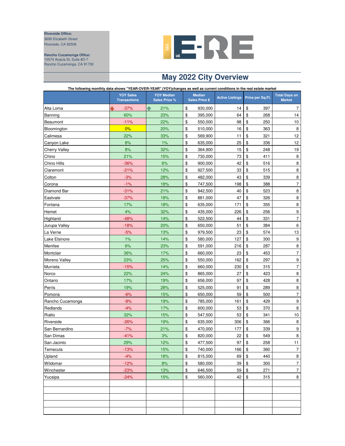#### **Riverside Office:**

3690 Elizabeth Street Riverside, CA 92506

**Rancho Cucamonga Office:** 10574 Acacia St, Suite #D-7 Rancho Cucamonga, CA 91730



### **May 2022 City Overview**

| The following monthly data shows "YEAR-OVER-YEAR" (YOY)changes as well as current conditions in the real estate market |                                         |                                           |                                        |                        |                          |                                       |  |
|------------------------------------------------------------------------------------------------------------------------|-----------------------------------------|-------------------------------------------|----------------------------------------|------------------------|--------------------------|---------------------------------------|--|
|                                                                                                                        | <b>YOY Sales</b><br><b>Transactions</b> | <b>YOY Median</b><br><b>Sales Price %</b> | <b>Median</b><br><b>Sales Price \$</b> | <b>Active Listings</b> | Price per Sq.Ft.         | <b>Total Days on</b><br><b>Market</b> |  |
| Alta Loma                                                                                                              | ىل<br>-37%                              | 仆<br>21%                                  | \$<br>930,000                          | 14                     | \$<br>397                | 7                                     |  |
| Banning                                                                                                                | 60%                                     | 23%                                       | \$<br>395,000                          | 64                     | \$<br>268                | 14                                    |  |
| Beaumont                                                                                                               | $-11%$                                  | 22%                                       | \$<br>550,000                          | 98                     | \$<br>250                | 10                                    |  |
| Bloomington                                                                                                            | 0%                                      | 20%                                       | \$<br>510,000                          | 16                     | \$<br>363                | 8                                     |  |
| Calimesa                                                                                                               | 22%                                     | 33%                                       | \$<br>569,900                          | 11                     | \$<br>321                | 12                                    |  |
| Canyon Lake                                                                                                            | 8%                                      | 1%                                        | \$<br>635,000                          | 25                     | \$<br>336                | 12                                    |  |
| <b>Cherry Valley</b>                                                                                                   | 8%                                      | 32%                                       | \$<br>364,900                          | 15                     | \$<br>248                | 19                                    |  |
| Chino                                                                                                                  | 21%                                     | 15%                                       | \$<br>730,000                          | 73                     | \$<br>411                | $\bf 8$                               |  |
| Chino Hills                                                                                                            | $-36%$                                  | 6%                                        | \$<br>900,000                          | 42                     | \$<br>516                | $\bf 8$                               |  |
| Claremont                                                                                                              | $-21%$                                  | 12%                                       | \$<br>927,500                          | 33                     | \$<br>515                | $\bf 8$                               |  |
| Colton                                                                                                                 | $-3%$                                   | 28%                                       | \$<br>482,000                          | 43                     | \$<br>339                | 8                                     |  |
| Corona                                                                                                                 | $-1%$                                   | 18%                                       | \$<br>747,500                          | 198                    | \$<br>388                | $\overline{7}$                        |  |
| Diamond Bar                                                                                                            | $-31%$                                  | 21%                                       | \$<br>942,500                          | 40                     | \$<br>523                | 8                                     |  |
| Eastvale                                                                                                               | $-37%$                                  | 18%                                       | \$<br>881,000                          | 47                     | \$<br>326                | 8                                     |  |
| Fontana                                                                                                                | 17%                                     | 18%                                       | \$<br>635,000                          | 171                    | \$<br>355                | 8                                     |  |
| Hemet                                                                                                                  | 4%                                      | 32%                                       | \$<br>435,000                          | 226                    | \$<br>256                | 9                                     |  |
| Highland                                                                                                               | $-48%$                                  | 14%                                       | \$<br>522,500                          | 44                     | \$<br>331                | $\overline{7}$                        |  |
| Jurupa Valley                                                                                                          | $-18%$                                  | 20%                                       | \$<br>650,000                          | 51                     | \$<br>384                | 6                                     |  |
| La Verne                                                                                                               | $-5%$                                   | 13%                                       | \$<br>979,500                          | 23                     | \$<br>574                | 13                                    |  |
| Lake Elsinore                                                                                                          | 1%                                      | 14%                                       | \$<br>580,000                          | 127                    | \$<br>300                | $\boldsymbol{9}$                      |  |
| Menifee                                                                                                                | 6%                                      | 23%                                       | \$<br>591,000                          | 216                    | \$<br>287                | $\bf 8$                               |  |
| Montclair                                                                                                              | 36%                                     | 17%                                       | \$<br>660,000                          | 23                     | \$<br>453                | $\boldsymbol{7}$                      |  |
| Moreno Valley                                                                                                          | 23%                                     | 25%                                       | \$<br>550,000                          | 162                    | \$<br>297                | $\boldsymbol{9}$                      |  |
| Murrieta                                                                                                               | $-15%$                                  | 14%                                       | \$<br>660,000                          | 230                    | \$<br>315                | $\overline{\mathcal{I}}$              |  |
| Norco                                                                                                                  | 22%                                     | 24%                                       | \$<br>865,000                          | 27                     | \$<br>423                | 8                                     |  |
| Ontario                                                                                                                | 17%                                     | 19%                                       | \$<br>656,000                          | 97                     | \$<br>428                | 8                                     |  |
| Perris                                                                                                                 | 19%                                     | 28%                                       | \$<br>525,000                          | 91                     | \$<br>289                | $\bf 8$                               |  |
| Pomona                                                                                                                 | $-6%$                                   | 15%                                       | \$<br>650,000                          | 59                     | \$<br>500                | $\overline{\mathcal{I}}$              |  |
| Rancho Cucamonga                                                                                                       | $-8%$                                   | 19%                                       | \$<br>785,000                          | 161                    | \$<br>429                | 9                                     |  |
| Redlands                                                                                                               | $-4%$                                   | 17%                                       | \$<br>600,000                          | 53                     | \$<br>370                | 8                                     |  |
| Rialto                                                                                                                 | 32%                                     | 15%                                       | \$<br>547,500                          | 53                     | \$<br>341                | 10                                    |  |
| Riverside                                                                                                              | $-26%$                                  | 19%                                       | \$<br>635,000                          | 306                    | \$<br>366                | 8                                     |  |
| San Bernardino                                                                                                         | $-7%$                                   | 21%                                       | \$<br>470,000                          | 177                    | \$<br>339                | $\boldsymbol{9}$                      |  |
| San Dimas                                                                                                              | $-41%$                                  | 3%                                        | \$<br>820,000                          | 22                     | \$<br>549                | $\,8\,$                               |  |
| San Jacinto                                                                                                            | 29%                                     | 12%                                       | \$<br>477,500                          | 97                     | $\,$<br>258              | 11                                    |  |
| Temecula                                                                                                               | $-13%$                                  | 15%                                       | \$<br>740,000                          | 166                    | \$<br>360                | $\overline{7}$                        |  |
| Upland                                                                                                                 | $-4%$                                   | 18%                                       | \$<br>815,000                          | 69                     | \$<br>440                | $\bf 8$                               |  |
| Wildomar                                                                                                               | $-12%$                                  | 8%                                        | \$<br>580,000                          | 39                     | \$<br>300                | $\boldsymbol{7}$                      |  |
| Winchester                                                                                                             | $-23%$                                  | 13%                                       | \$<br>646,500                          | 59                     | \$<br>271                | $\boldsymbol{7}$                      |  |
| Yucaipa                                                                                                                | $-24%$                                  | 15%                                       | \$<br>560,000                          | 42                     | $\boldsymbol{\$}$<br>315 | 8                                     |  |
|                                                                                                                        |                                         |                                           |                                        |                        |                          |                                       |  |
|                                                                                                                        |                                         |                                           |                                        |                        |                          |                                       |  |
|                                                                                                                        |                                         |                                           |                                        |                        |                          |                                       |  |
|                                                                                                                        |                                         |                                           |                                        |                        |                          |                                       |  |
|                                                                                                                        |                                         |                                           |                                        |                        |                          |                                       |  |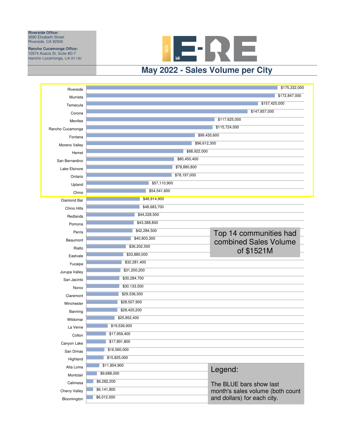**Rancho Cucamonga Office:** 10574 Acacia St, Suite #D-7 Rancho Cucamonga, CA 91730



### **May 2022 - Sales Volume per City**

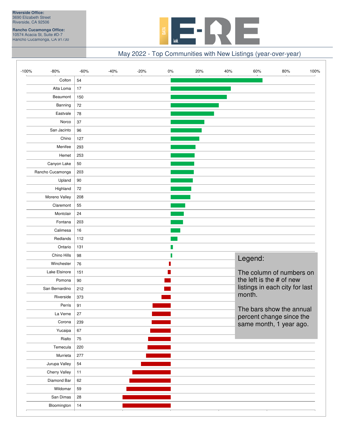r

**Rancho Cucamonga Office:** 10574 Acacia St, Suite #D-7 Rancho Cucamonga, CA 91730



#### May 2022 - Top Communities with New Listings (year-over-year)

| $-100%$ | $-80%$           | $-60%$ | $-40%$ | $-20%$ | 0% | 20% | 40% | 60%                                                 | 80% | 100% |  |
|---------|------------------|--------|--------|--------|----|-----|-----|-----------------------------------------------------|-----|------|--|
|         | Colton           | 54     |        |        |    |     |     |                                                     |     |      |  |
|         | Alta Loma        | 17     |        |        |    |     |     |                                                     |     |      |  |
|         | Beaumont         | 150    |        |        |    |     |     |                                                     |     |      |  |
|         | Banning          | 72     |        |        |    |     |     |                                                     |     |      |  |
|         | Eastvale         | 78     |        |        |    |     |     |                                                     |     |      |  |
|         | Norco            | 37     |        |        |    |     |     |                                                     |     |      |  |
|         | San Jacinto      | 96     |        |        |    |     |     |                                                     |     |      |  |
|         | Chino            | 127    |        |        |    |     |     |                                                     |     |      |  |
|         | Menifee          | 293    |        |        |    |     |     |                                                     |     |      |  |
|         | Hemet            | 253    |        |        |    |     |     |                                                     |     |      |  |
|         | Canyon Lake      | 50     |        |        |    |     |     |                                                     |     |      |  |
|         | Rancho Cucamonga | 203    |        |        |    |     |     |                                                     |     |      |  |
|         | Upland           | 90     |        |        |    |     |     |                                                     |     |      |  |
|         | Highland         | 72     |        |        |    |     |     |                                                     |     |      |  |
|         | Moreno Valley    | 208    |        |        |    |     |     |                                                     |     |      |  |
|         | Claremont        | 55     |        |        |    |     |     |                                                     |     |      |  |
|         | Montclair        | 24     |        |        |    |     |     |                                                     |     |      |  |
|         | Fontana          | 203    |        |        |    |     |     |                                                     |     |      |  |
|         | Calimesa         | 16     |        |        |    |     |     |                                                     |     |      |  |
|         | Redlands         | 112    |        |        |    |     |     |                                                     |     |      |  |
|         | Ontario          | 131    |        |        |    |     |     |                                                     |     |      |  |
|         | Chino Hills      | 98     |        |        |    |     |     | Legend:                                             |     |      |  |
|         | Winchester       | 76     |        |        |    |     |     |                                                     |     |      |  |
|         | Lake Elsinore    | 151    |        |        |    |     |     | The column of numbers on                            |     |      |  |
|         | Pomona           | 90     |        |        |    |     |     | the left is the # of new                            |     |      |  |
|         | San Bernardino   | 212    |        |        |    |     |     | listings in each city for last                      |     |      |  |
|         | Riverside        | 373    |        |        |    |     |     | month.                                              |     |      |  |
|         | Perris           | 91     |        |        |    |     |     | The bars show the annual                            |     |      |  |
|         | La Verne         | 27     |        |        |    |     |     |                                                     |     |      |  |
|         | Corona           | 239    |        |        |    |     |     | percent change since the<br>same month, 1 year ago. |     |      |  |
|         | Yucaipa          | 67     |        |        |    |     |     |                                                     |     |      |  |
|         | Rialto           | 75     |        |        |    |     |     |                                                     |     |      |  |
|         | Temecula         | 220    |        |        |    |     |     |                                                     |     |      |  |
|         | Murrieta         | 277    |        |        |    |     |     |                                                     |     |      |  |
|         | Jurupa Valley    | 54     |        |        |    |     |     |                                                     |     |      |  |
|         | Cherry Valley    | 11     |        |        |    |     |     |                                                     |     |      |  |
|         | Diamond Bar      | 62     |        |        |    |     |     |                                                     |     |      |  |
|         | Wildomar         | 59     |        |        |    |     |     |                                                     |     |      |  |
|         | San Dimas        | 28     |        |        |    |     |     |                                                     |     |      |  |
|         |                  |        |        |        |    |     |     |                                                     |     |      |  |